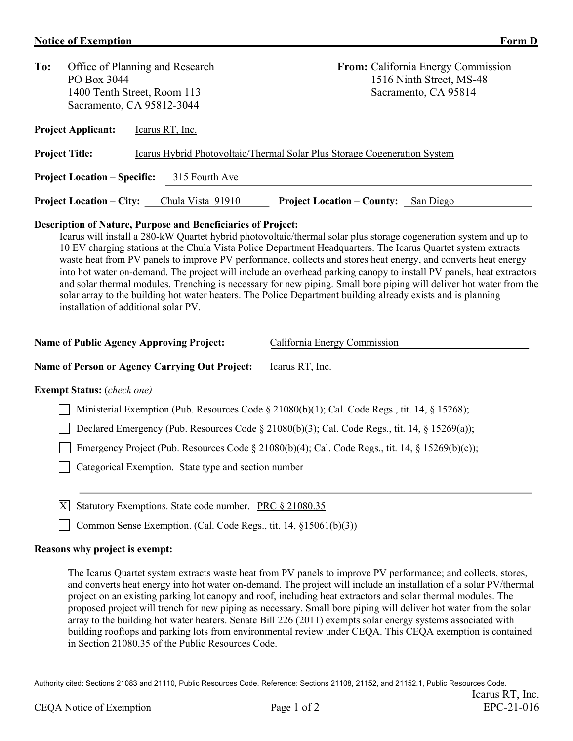## **Notice of Exemption**

| I<br>r orm |  |
|------------|--|
|            |  |

| To:                                                                                                | Office of Planning and Research<br>PO Box 3044<br>1400 Tenth Street, Room 113<br>Sacramento, CA 95812-3044 | <b>From:</b> California Energy Commission<br>1516 Ninth Street, MS-48<br>Sacramento, CA 95814 |  |  |  |  |  |
|----------------------------------------------------------------------------------------------------|------------------------------------------------------------------------------------------------------------|-----------------------------------------------------------------------------------------------|--|--|--|--|--|
| <b>Project Applicant:</b>                                                                          | Icarus RT, Inc.                                                                                            |                                                                                               |  |  |  |  |  |
| <b>Project Title:</b><br>Icarus Hybrid Photovoltaic/Thermal Solar Plus Storage Cogeneration System |                                                                                                            |                                                                                               |  |  |  |  |  |
| 315 Fourth Ave<br><b>Project Location – Specific:</b>                                              |                                                                                                            |                                                                                               |  |  |  |  |  |
|                                                                                                    | Chula Vista 91910<br><b>Project Location – County:</b> San Diego<br><b>Project Location – City:</b>        |                                                                                               |  |  |  |  |  |

## **Description of Nature, Purpose and Beneficiaries of Project:**

Icarus will install a 280-kW Quartet hybrid photovoltaic/thermal solar plus storage cogeneration system and up to 10 EV charging stations at the Chula Vista Police Department Headquarters. The Icarus Quartet system extracts waste heat from PV panels to improve PV performance, collects and stores heat energy, and converts heat energy into hot water on-demand. The project will include an overhead parking canopy to install PV panels, heat extractors and solar thermal modules. Trenching is necessary for new piping. Small bore piping will deliver hot water from the solar array to the building hot water heaters. The Police Department building already exists and is planning installation of additional solar PV.

| <b>Name of Public Agency Approving Project:</b> | California Energy Commission |
|-------------------------------------------------|------------------------------|
|                                                 |                              |

Name of Person or Agency Carrying Out Project: Learus RT, Inc.

## **Exempt Status:** (*check one)*

Ministerial Exemption (Pub. Resources Code § 21080(b)(1); Cal. Code Regs., tit. 14, § 15268);

Declared Emergency (Pub. Resources Code § 21080(b)(3); Cal. Code Regs., tit. 14, § 15269(a));

Emergency Project (Pub. Resources Code § 21080(b)(4); Cal. Code Regs., tit. 14, § 15269(b)(c));

Categorical Exemption. State type and section number

 $|X|$  Statutory Exemptions. State code number. PRC  $\S 21080.35$ 

◯ Common Sense Exemption. (Cal. Code Regs., tit. 14, §15061(b)(3))

## **Reasons why project is exempt:**

The Icarus Quartet system extracts waste heat from PV panels to improve PV performance; and collects, stores, and converts heat energy into hot water on-demand. The project will include an installation of a solar PV/thermal project on an existing parking lot canopy and roof, including heat extractors and solar thermal modules. The proposed project will trench for new piping as necessary. Small bore piping will deliver hot water from the solar array to the building hot water heaters. Senate Bill 226 (2011) exempts solar energy systems associated with building rooftops and parking lots from environmental review under CEQA. This CEQA exemption is contained in Section 21080.35 of the Public Resources Code.

Authority cited: Sections 21083 and 21110, Public Resources Code. Reference: Sections 21108, 21152, and 21152.1, Public Resources Code.